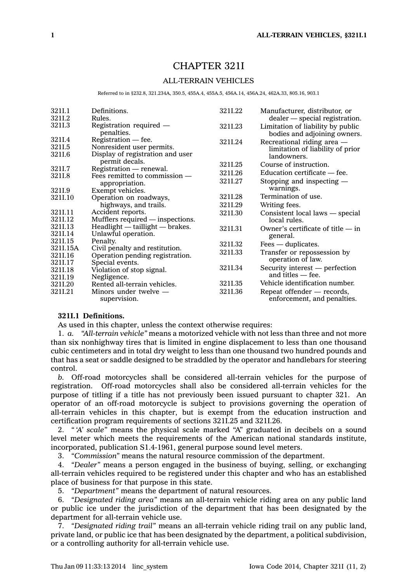# CHAPTER 321I

# ALL-TERRAIN VEHICLES

Referred to in §232.8, 321.234A, 350.5, 455A.4, 455A.5, 456A.14, 456A.24, 462A.33, 805.16, 903.1

| 321I.1   | Definitions.                          | 3211.22 | Manufacturer, distributor, or                                     |
|----------|---------------------------------------|---------|-------------------------------------------------------------------|
| 3211.2   | Rules.                                |         | dealer — special registration.                                    |
| 321I.3   | Registration required —<br>penalties. | 3211.23 | Limitation of liability by public<br>bodies and adjoining owners. |
| 3211.4   | $Registribution - fee.$               | 321I.24 | Recreational riding area -                                        |
| 321I.5   | Nonresident user permits.             |         | limitation of liability of prior                                  |
| 321I.6   | Display of registration and user      |         | landowners.                                                       |
|          | permit decals.                        | 3211.25 | Course of instruction.                                            |
| 3211.7   | Registration — renewal.               | 3211.26 | Education certificate — fee.                                      |
| 321I.8   | Fees remitted to commission —         | 3211.27 | Stopping and inspecting -                                         |
| 3211.9   | appropriation.<br>Exempt vehicles.    |         | warnings.                                                         |
| 321I.10  | Operation on roadways,                | 3211.28 | Termination of use.                                               |
|          | highways, and trails.                 | 3211.29 | Writing fees.                                                     |
| 321I.11  | Accident reports.                     | 3211.30 |                                                                   |
| 3211.12  | Mufflers required — inspections.      |         | Consistent local laws — special<br>local rules.                   |
| 3211.13  | Headlight - taillight - brakes.       |         | Owner's certificate of title $-$ in                               |
| 321I.14  | Unlawful operation.                   | 3211.31 | general.                                                          |
| 321I.15  | Penalty.                              | 3211.32 |                                                                   |
| 321I.15A | Civil penalty and restitution.        |         | $Fees - duplicate.$                                               |
| 321I.16  | Operation pending registration.       | 3211.33 | Transfer or repossession by                                       |
| 321I.17  | Special events.                       |         | operation of law.                                                 |
| 321I.18  | Violation of stop signal.             | 3211.34 | Security interest — perfection                                    |
| 321I.19  | Negligence.                           |         | and titles $-$ fee.                                               |
| 3211.20  | Rented all-terrain vehicles.          | 3211.35 | Vehicle identification number.                                    |
| 3211.21  | Minors under twelve $-$               | 3211.36 | Repeat offender — records,                                        |
|          | supervision.                          |         | enforcement, and penalties.                                       |

# **321I.1 Definitions.**

As used in this chapter, unless the context otherwise requires:

1. *a. "All-terrain vehicle"* means <sup>a</sup> motorized vehicle with not less than three and not more than six nonhighway tires that is limited in engine displacement to less than one thousand cubic centimeters and in total dry weight to less than one thousand two hundred pounds and that has <sup>a</sup> seat or saddle designed to be straddled by the operator and handlebars for steering control.

*b.* Off-road motorcycles shall be considered all-terrain vehicles for the purpose of registration. Off-road motorcycles shall also be considered all-terrain vehicles for the purpose of titling if <sup>a</sup> title has not previously been issued pursuant to chapter 321. An operator of an off-road motorcycle is subject to provisions governing the operation of all-terrain vehicles in this chapter, but is exempt from the education instruction and certification program requirements of sections 321I.25 and 321I.26.

2. *" 'A' scale"* means the physical scale marked "A" graduated in decibels on <sup>a</sup> sound level meter which meets the requirements of the American national standards institute, incorporated, publication S1.4-1961, general purpose sound level meters.

3. *"Commission"* means the natural resource commission of the department.

4. *"Dealer"* means <sup>a</sup> person engaged in the business of buying, selling, or exchanging all-terrain vehicles required to be registered under this chapter and who has an established place of business for that purpose in this state.

5. *"Department"* means the department of natural resources.

6. *"Designated riding area"* means an all-terrain vehicle riding area on any public land or public ice under the jurisdiction of the department that has been designated by the department for all-terrain vehicle use.

7. *"Designated riding trail"* means an all-terrain vehicle riding trail on any public land, private land, or public ice that has been designated by the department, <sup>a</sup> political subdivision, or <sup>a</sup> controlling authority for all-terrain vehicle use.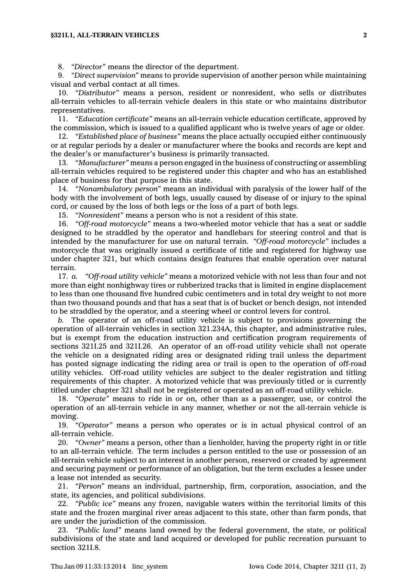### **§321I.1, ALL-TERRAIN VEHICLES 2**

8. *"Director"* means the director of the department.

9. *"Direct supervision"* means to provide supervision of another person while maintaining visual and verbal contact at all times.

10. *"Distributor"* means <sup>a</sup> person, resident or nonresident, who sells or distributes all-terrain vehicles to all-terrain vehicle dealers in this state or who maintains distributor representatives.

11. *"Education certificate"* means an all-terrain vehicle education certificate, approved by the commission, which is issued to <sup>a</sup> qualified applicant who is twelve years of age or older.

12. *"Established place of business"* means the place actually occupied either continuously or at regular periods by <sup>a</sup> dealer or manufacturer where the books and records are kept and the dealer's or manufacturer's business is primarily transacted.

13. *"Manufacturer"* means <sup>a</sup> person engaged in the business of constructing or assembling all-terrain vehicles required to be registered under this chapter and who has an established place of business for that purpose in this state.

14. *"Nonambulatory person"* means an individual with paralysis of the lower half of the body with the involvement of both legs, usually caused by disease of or injury to the spinal cord, or caused by the loss of both legs or the loss of <sup>a</sup> part of both legs.

15. *"Nonresident"* means <sup>a</sup> person who is not <sup>a</sup> resident of this state.

16. *"Off-road motorcycle"* means <sup>a</sup> two-wheeled motor vehicle that has <sup>a</sup> seat or saddle designed to be straddled by the operator and handlebars for steering control and that is intended by the manufacturer for use on natural terrain. *"Off-road motorcycle"* includes <sup>a</sup> motorcycle that was originally issued <sup>a</sup> certificate of title and registered for highway use under chapter 321, but which contains design features that enable operation over natural terrain.

17. *a. "Off-road utility vehicle"* means <sup>a</sup> motorized vehicle with not less than four and not more than eight nonhighway tires or rubberized tracks that is limited in engine displacement to less than one thousand five hundred cubic centimeters and in total dry weight to not more than two thousand pounds and that has <sup>a</sup> seat that is of bucket or bench design, not intended to be straddled by the operator, and <sup>a</sup> steering wheel or control levers for control.

*b.* The operator of an off-road utility vehicle is subject to provisions governing the operation of all-terrain vehicles in section 321.234A, this chapter, and administrative rules, but is exempt from the education instruction and certification program requirements of sections 321I.25 and 321I.26. An operator of an off-road utility vehicle shall not operate the vehicle on <sup>a</sup> designated riding area or designated riding trail unless the department has posted signage indicating the riding area or trail is open to the operation of off-road utility vehicles. Off-road utility vehicles are subject to the dealer registration and titling requirements of this chapter. A motorized vehicle that was previously titled or is currently titled under chapter 321 shall not be registered or operated as an off-road utility vehicle.

18. *"Operate"* means to ride in or on, other than as <sup>a</sup> passenger, use, or control the operation of an all-terrain vehicle in any manner, whether or not the all-terrain vehicle is moving.

19. *"Operator"* means <sup>a</sup> person who operates or is in actual physical control of an all-terrain vehicle.

20. *"Owner"* means <sup>a</sup> person, other than <sup>a</sup> lienholder, having the property right in or title to an all-terrain vehicle. The term includes <sup>a</sup> person entitled to the use or possession of an all-terrain vehicle subject to an interest in another person, reserved or created by agreement and securing payment or performance of an obligation, but the term excludes <sup>a</sup> lessee under <sup>a</sup> lease not intended as security.

21. *"Person"* means an individual, partnership, firm, corporation, association, and the state, its agencies, and political subdivisions.

22. *"Public ice"* means any frozen, navigable waters within the territorial limits of this state and the frozen marginal river areas adjacent to this state, other than farm ponds, that are under the jurisdiction of the commission.

23. *"Public land"* means land owned by the federal government, the state, or political subdivisions of the state and land acquired or developed for public recreation pursuant to section 321I.8.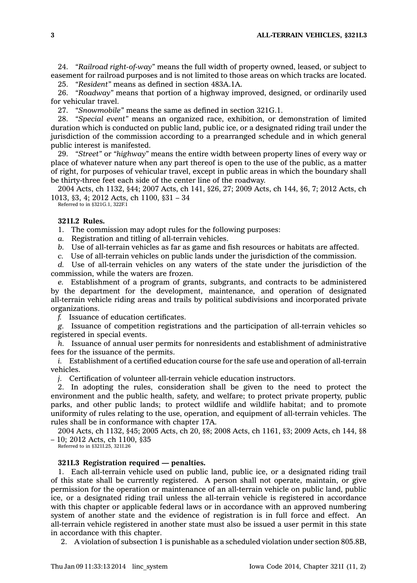24. *"Railroad right-of-way"* means the full width of property owned, leased, or subject to easement for railroad purposes and is not limited to those areas on which tracks are located. 25. *"Resident"* means as defined in section 483A.1A.

26. *"Roadway"* means that portion of <sup>a</sup> highway improved, designed, or ordinarily used for vehicular travel.

27. *"Snowmobile"* means the same as defined in section 321G.1.

28. *"Special event"* means an organized race, exhibition, or demonstration of limited duration which is conducted on public land, public ice, or <sup>a</sup> designated riding trail under the jurisdiction of the commission according to <sup>a</sup> prearranged schedule and in which general public interest is manifested.

29. *"Street"* or *"highway"* means the entire width between property lines of every way or place of whatever nature when any part thereof is open to the use of the public, as <sup>a</sup> matter of right, for purposes of vehicular travel, except in public areas in which the boundary shall be thirty-three feet each side of the center line of the roadway.

2004 Acts, ch 1132, §44; 2007 Acts, ch 141, §26, 27; 2009 Acts, ch 144, §6, 7; 2012 Acts, ch 1013, §3, 4; 2012 Acts, ch 1100, §31 – 34 Referred to in §321G.1, 322F.1

# **321I.2 Rules.**

1. The commission may adopt rules for the following purposes:

*a.* Registration and titling of all-terrain vehicles.

*b.* Use of all-terrain vehicles as far as game and fish resources or habitats are affected.

*c.* Use of all-terrain vehicles on public lands under the jurisdiction of the commission.

*d.* Use of all-terrain vehicles on any waters of the state under the jurisdiction of the commission, while the waters are frozen.

*e.* Establishment of <sup>a</sup> program of grants, subgrants, and contracts to be administered by the department for the development, maintenance, and operation of designated all-terrain vehicle riding areas and trails by political subdivisions and incorporated private organizations.

*f.* Issuance of education certificates.

*g.* Issuance of competition registrations and the participation of all-terrain vehicles so registered in special events.

*h.* Issuance of annual user permits for nonresidents and establishment of administrative fees for the issuance of the permits.

*i.* Establishment of a certified education course for the safe use and operation of all-terrain vehicles.

*j.* Certification of volunteer all-terrain vehicle education instructors.

2. In adopting the rules, consideration shall be given to the need to protect the environment and the public health, safety, and welfare; to protect private property, public parks, and other public lands; to protect wildlife and wildlife habitat; and to promote uniformity of rules relating to the use, operation, and equipment of all-terrain vehicles. The rules shall be in conformance with chapter 17A.

2004 Acts, ch 1132, §45; 2005 Acts, ch 20, §8; 2008 Acts, ch 1161, §3; 2009 Acts, ch 144, §8 – 10; 2012 Acts, ch 1100, §35

Referred to in §321I.25, 321I.26

# **321I.3 Registration required — penalties.**

1. Each all-terrain vehicle used on public land, public ice, or <sup>a</sup> designated riding trail of this state shall be currently registered. A person shall not operate, maintain, or give permission for the operation or maintenance of an all-terrain vehicle on public land, public ice, or <sup>a</sup> designated riding trail unless the all-terrain vehicle is registered in accordance with this chapter or applicable federal laws or in accordance with an approved numbering system of another state and the evidence of registration is in full force and effect. An all-terrain vehicle registered in another state must also be issued <sup>a</sup> user permit in this state in accordance with this chapter.

2. A violation of subsection 1 is punishable as <sup>a</sup> scheduled violation under section 805.8B,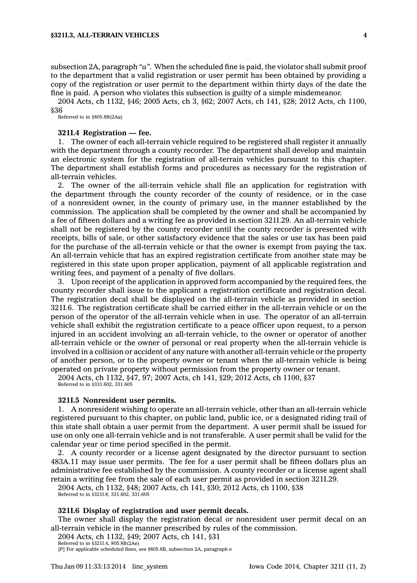subsection 2A, paragraph *"a"*. When the scheduled fine is paid, the violator shall submit proof to the department that <sup>a</sup> valid registration or user permit has been obtained by providing <sup>a</sup> copy of the registration or user permit to the department within thirty days of the date the fine is paid. A person who violates this subsection is guilty of <sup>a</sup> simple misdemeanor.

2004 Acts, ch 1132, §46; 2005 Acts, ch 3, §62; 2007 Acts, ch 141, §28; 2012 Acts, ch 1100, §36

Referred to in §805.8B(2Aa)

### **321I.4 Registration — fee.**

1. The owner of each all-terrain vehicle required to be registered shall register it annually with the department through <sup>a</sup> county recorder. The department shall develop and maintain an electronic system for the registration of all-terrain vehicles pursuant to this chapter. The department shall establish forms and procedures as necessary for the registration of all-terrain vehicles.

2. The owner of the all-terrain vehicle shall file an application for registration with the department through the county recorder of the county of residence, or in the case of <sup>a</sup> nonresident owner, in the county of primary use, in the manner established by the commission. The application shall be completed by the owner and shall be accompanied by <sup>a</sup> fee of fifteen dollars and <sup>a</sup> writing fee as provided in section 321I.29. An all-terrain vehicle shall not be registered by the county recorder until the county recorder is presented with receipts, bills of sale, or other satisfactory evidence that the sales or use tax has been paid for the purchase of the all-terrain vehicle or that the owner is exempt from paying the tax. An all-terrain vehicle that has an expired registration certificate from another state may be registered in this state upon proper application, payment of all applicable registration and writing fees, and payment of <sup>a</sup> penalty of five dollars.

3. Upon receipt of the application in approved form accompanied by the required fees, the county recorder shall issue to the applicant <sup>a</sup> registration certificate and registration decal. The registration decal shall be displayed on the all-terrain vehicle as provided in section 321I.6. The registration certificate shall be carried either in the all-terrain vehicle or on the person of the operator of the all-terrain vehicle when in use. The operator of an all-terrain vehicle shall exhibit the registration certificate to <sup>a</sup> peace officer upon request, to <sup>a</sup> person injured in an accident involving an all-terrain vehicle, to the owner or operator of another all-terrain vehicle or the owner of personal or real property when the all-terrain vehicle is involved in <sup>a</sup> collision or accident of any nature with another all-terrain vehicle or the property of another person, or to the property owner or tenant when the all-terrain vehicle is being operated on private property without permission from the property owner or tenant.

2004 Acts, ch 1132, §47, 97; 2007 Acts, ch 141, §29; 2012 Acts, ch 1100, §37 Referred to in §331.602, 331.605

### **321I.5 Nonresident user permits.**

1. A nonresident wishing to operate an all-terrain vehicle, other than an all-terrain vehicle registered pursuant to this chapter, on public land, public ice, or <sup>a</sup> designated riding trail of this state shall obtain <sup>a</sup> user permit from the department. A user permit shall be issued for use on only one all-terrain vehicle and is not transferable. A user permit shall be valid for the calendar year or time period specified in the permit.

2. A county recorder or <sup>a</sup> license agent designated by the director pursuant to section 483A.11 may issue user permits. The fee for <sup>a</sup> user permit shall be fifteen dollars plus an administrative fee established by the commission. A county recorder or <sup>a</sup> license agent shall retain <sup>a</sup> writing fee from the sale of each user permit as provided in section 321I.29.

2004 Acts, ch 1132, §48; 2007 Acts, ch 141, §30; 2012 Acts, ch 1100, §38 Referred to in §321I.8, 331.602, 331.605

#### **321I.6 Display of registration and user permit decals.**

The owner shall display the registration decal or nonresident user permit decal on an all-terrain vehicle in the manner prescribed by rules of the commission.

2004 Acts, ch 1132, §49; 2007 Acts, ch 141, §31

Referred to in §321I.4, 805.8B(2Ae) [P] For applicable scheduled fines, see §805.8B, subsection 2A, paragraph <sup>e</sup>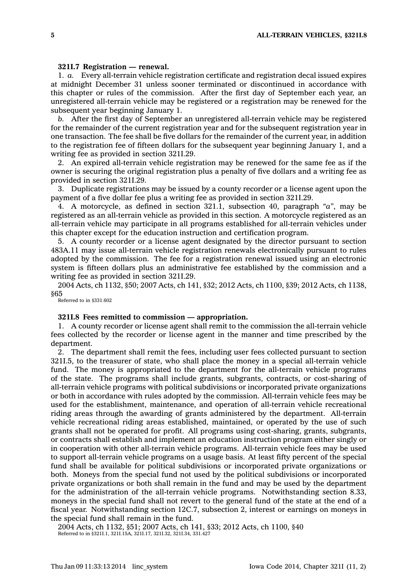### **321I.7 Registration — renewal.**

1. *a.* Every all-terrain vehicle registration certificate and registration decal issued expires at midnight December 31 unless sooner terminated or discontinued in accordance with this chapter or rules of the commission. After the first day of September each year, an unregistered all-terrain vehicle may be registered or <sup>a</sup> registration may be renewed for the subsequent year beginning January 1.

*b.* After the first day of September an unregistered all-terrain vehicle may be registered for the remainder of the current registration year and for the subsequent registration year in one transaction. The fee shall be five dollars for the remainder of the current year, in addition to the registration fee of fifteen dollars for the subsequent year beginning January 1, and <sup>a</sup> writing fee as provided in section 321I.29.

2. An expired all-terrain vehicle registration may be renewed for the same fee as if the owner is securing the original registration plus <sup>a</sup> penalty of five dollars and <sup>a</sup> writing fee as provided in section 321I.29.

3. Duplicate registrations may be issued by <sup>a</sup> county recorder or <sup>a</sup> license agent upon the payment of <sup>a</sup> five dollar fee plus <sup>a</sup> writing fee as provided in section 321I.29.

4. A motorcycle, as defined in section 321.1, subsection 40, paragraph *"a"*, may be registered as an all-terrain vehicle as provided in this section. A motorcycle registered as an all-terrain vehicle may participate in all programs established for all-terrain vehicles under this chapter except for the education instruction and certification program.

5. A county recorder or <sup>a</sup> license agent designated by the director pursuant to section 483A.11 may issue all-terrain vehicle registration renewals electronically pursuant to rules adopted by the commission. The fee for <sup>a</sup> registration renewal issued using an electronic system is fifteen dollars plus an administrative fee established by the commission and <sup>a</sup> writing fee as provided in section 321I.29.

2004 Acts, ch 1132, §50; 2007 Acts, ch 141, §32; 2012 Acts, ch 1100, §39; 2012 Acts, ch 1138, §65

Referred to in §331.602

# **321I.8 Fees remitted to commission — appropriation.**

1. A county recorder or license agent shall remit to the commission the all-terrain vehicle fees collected by the recorder or license agent in the manner and time prescribed by the department.

2. The department shall remit the fees, including user fees collected pursuant to section 321I.5, to the treasurer of state, who shall place the money in <sup>a</sup> special all-terrain vehicle fund. The money is appropriated to the department for the all-terrain vehicle programs of the state. The programs shall include grants, subgrants, contracts, or cost-sharing of all-terrain vehicle programs with political subdivisions or incorporated private organizations or both in accordance with rules adopted by the commission. All-terrain vehicle fees may be used for the establishment, maintenance, and operation of all-terrain vehicle recreational riding areas through the awarding of grants administered by the department. All-terrain vehicle recreational riding areas established, maintained, or operated by the use of such grants shall not be operated for profit. All programs using cost-sharing, grants, subgrants, or contracts shall establish and implement an education instruction program either singly or in cooperation with other all-terrain vehicle programs. All-terrain vehicle fees may be used to support all-terrain vehicle programs on <sup>a</sup> usage basis. At least fifty percent of the special fund shall be available for political subdivisions or incorporated private organizations or both. Moneys from the special fund not used by the political subdivisions or incorporated private organizations or both shall remain in the fund and may be used by the department for the administration of the all-terrain vehicle programs. Notwithstanding section 8.33, moneys in the special fund shall not revert to the general fund of the state at the end of <sup>a</sup> fiscal year. Notwithstanding section 12C.7, subsection 2, interest or earnings on moneys in the special fund shall remain in the fund.

2004 Acts, ch 1132, §51; 2007 Acts, ch 141, §33; 2012 Acts, ch 1100, §40 Referred to in §321I.1, 321I.15A, 321I.17, 321I.32, 321I.34, 331.427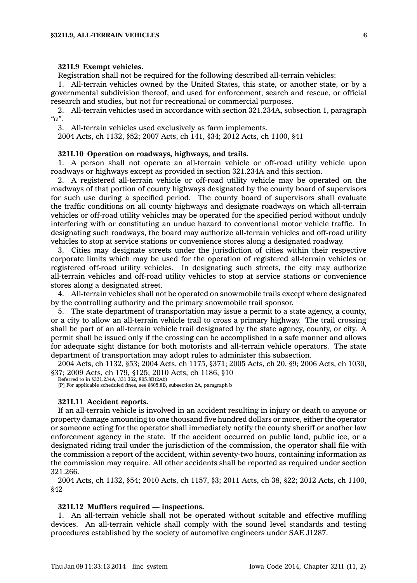### **321I.9 Exempt vehicles.**

Registration shall not be required for the following described all-terrain vehicles:

1. All-terrain vehicles owned by the United States, this state, or another state, or by <sup>a</sup> governmental subdivision thereof, and used for enforcement, search and rescue, or official research and studies, but not for recreational or commercial purposes.

2. All-terrain vehicles used in accordance with section 321.234A, subsection 1, paragraph *"a"*.

3. All-terrain vehicles used exclusively as farm implements.

2004 Acts, ch 1132, §52; 2007 Acts, ch 141, §34; 2012 Acts, ch 1100, §41

## **321I.10 Operation on roadways, highways, and trails.**

1. A person shall not operate an all-terrain vehicle or off-road utility vehicle upon roadways or highways except as provided in section 321.234A and this section.

2. A registered all-terrain vehicle or off-road utility vehicle may be operated on the roadways of that portion of county highways designated by the county board of supervisors for such use during <sup>a</sup> specified period. The county board of supervisors shall evaluate the traffic conditions on all county highways and designate roadways on which all-terrain vehicles or off-road utility vehicles may be operated for the specified period without unduly interfering with or constituting an undue hazard to conventional motor vehicle traffic. In designating such roadways, the board may authorize all-terrain vehicles and off-road utility vehicles to stop at service stations or convenience stores along <sup>a</sup> designated roadway.

3. Cities may designate streets under the jurisdiction of cities within their respective corporate limits which may be used for the operation of registered all-terrain vehicles or registered off-road utility vehicles. In designating such streets, the city may authorize all-terrain vehicles and off-road utility vehicles to stop at service stations or convenience stores along <sup>a</sup> designated street.

4. All-terrain vehicles shall not be operated on snowmobile trails except where designated by the controlling authority and the primary snowmobile trail sponsor.

5. The state department of transportation may issue <sup>a</sup> permit to <sup>a</sup> state agency, <sup>a</sup> county, or <sup>a</sup> city to allow an all-terrain vehicle trail to cross <sup>a</sup> primary highway. The trail crossing shall be part of an all-terrain vehicle trail designated by the state agency, county, or city. A permit shall be issued only if the crossing can be accomplished in <sup>a</sup> safe manner and allows for adequate sight distance for both motorists and all-terrain vehicle operators. The state department of transportation may adopt rules to administer this subsection.

2004 Acts, ch 1132, §53; 2004 Acts, ch 1175, §371; 2005 Acts, ch 20, §9; 2006 Acts, ch 1030, §37; 2009 Acts, ch 179, §125; 2010 Acts, ch 1186, §10

Referred to in §321.234A, 331.362, 805.8B(2Ab)

[P] For applicable scheduled fines, see §805.8B, subsection 2A, paragraph b

### **321I.11 Accident reports.**

If an all-terrain vehicle is involved in an accident resulting in injury or death to anyone or property damage amounting to one thousand five hundred dollars or more, either the operator or someone acting for the operator shall immediately notify the county sheriff or another law enforcement agency in the state. If the accident occurred on public land, public ice, or <sup>a</sup> designated riding trail under the jurisdiction of the commission, the operator shall file with the commission <sup>a</sup> report of the accident, within seventy-two hours, containing information as the commission may require. All other accidents shall be reported as required under section 321.266.

2004 Acts, ch 1132, §54; 2010 Acts, ch 1157, §3; 2011 Acts, ch 38, §22; 2012 Acts, ch 1100, §42

# **321I.12 Mufflers required — inspections.**

1. An all-terrain vehicle shall not be operated without suitable and effective muffling devices. An all-terrain vehicle shall comply with the sound level standards and testing procedures established by the society of automotive engineers under SAE J1287.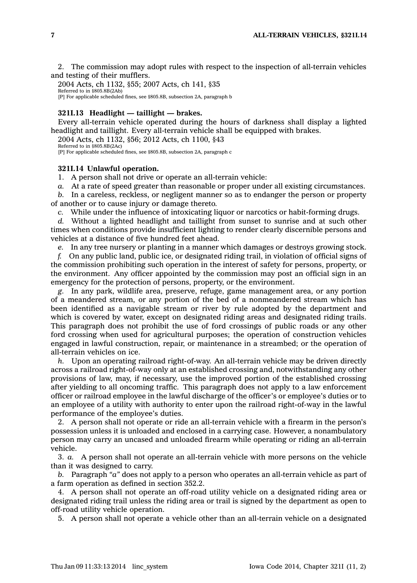2. The commission may adopt rules with respect to the inspection of all-terrain vehicles and testing of their mufflers.

2004 Acts, ch 1132, §55; 2007 Acts, ch 141, §35 Referred to in §805.8B(2Ab) [P] For applicable scheduled fines, see §805.8B, subsection 2A, paragraph b

# **321I.13 Headlight — taillight —brakes.**

Every all-terrain vehicle operated during the hours of darkness shall display <sup>a</sup> lighted headlight and taillight. Every all-terrain vehicle shall be equipped with brakes.

2004 Acts, ch 1132, §56; 2012 Acts, ch 1100, §43

Referred to in §805.8B(2Ac) [P] For applicable scheduled fines, see §805.8B, subsection 2A, paragraph <sup>c</sup>

### **321I.14 Unlawful operation.**

1. A person shall not drive or operate an all-terrain vehicle:

*a.* At <sup>a</sup> rate of speed greater than reasonable or proper under all existing circumstances.

*b.* In <sup>a</sup> careless, reckless, or negligent manner so as to endanger the person or property of another or to cause injury or damage thereto.

*c.* While under the influence of intoxicating liquor or narcotics or habit-forming drugs.

*d.* Without <sup>a</sup> lighted headlight and taillight from sunset to sunrise and at such other times when conditions provide insufficient lighting to render clearly discernible persons and vehicles at <sup>a</sup> distance of five hundred feet ahead.

*e.* In any tree nursery or planting in <sup>a</sup> manner which damages or destroys growing stock.

*f.* On any public land, public ice, or designated riding trail, in violation of official signs of the commission prohibiting such operation in the interest of safety for persons, property, or the environment. Any officer appointed by the commission may post an official sign in an emergency for the protection of persons, property, or the environment.

*g.* In any park, wildlife area, preserve, refuge, game management area, or any portion of <sup>a</sup> meandered stream, or any portion of the bed of <sup>a</sup> nonmeandered stream which has been identified as <sup>a</sup> navigable stream or river by rule adopted by the department and which is covered by water, except on designated riding areas and designated riding trails. This paragraph does not prohibit the use of ford crossings of public roads or any other ford crossing when used for agricultural purposes; the operation of construction vehicles engaged in lawful construction, repair, or maintenance in <sup>a</sup> streambed; or the operation of all-terrain vehicles on ice.

*h.* Upon an operating railroad right-of-way. An all-terrain vehicle may be driven directly across <sup>a</sup> railroad right-of-way only at an established crossing and, notwithstanding any other provisions of law, may, if necessary, use the improved portion of the established crossing after yielding to all oncoming traffic. This paragraph does not apply to <sup>a</sup> law enforcement officer or railroad employee in the lawful discharge of the officer's or employee's duties or to an employee of <sup>a</sup> utility with authority to enter upon the railroad right-of-way in the lawful performance of the employee's duties.

2. A person shall not operate or ride an all-terrain vehicle with <sup>a</sup> firearm in the person's possession unless it is unloaded and enclosed in <sup>a</sup> carrying case. However, <sup>a</sup> nonambulatory person may carry an uncased and unloaded firearm while operating or riding an all-terrain vehicle.

3. *a.* A person shall not operate an all-terrain vehicle with more persons on the vehicle than it was designed to carry.

*b.* Paragraph *"a"* does not apply to <sup>a</sup> person who operates an all-terrain vehicle as part of <sup>a</sup> farm operation as defined in section 352.2.

4. A person shall not operate an off-road utility vehicle on <sup>a</sup> designated riding area or designated riding trail unless the riding area or trail is signed by the department as open to off-road utility vehicle operation.

5. A person shall not operate <sup>a</sup> vehicle other than an all-terrain vehicle on <sup>a</sup> designated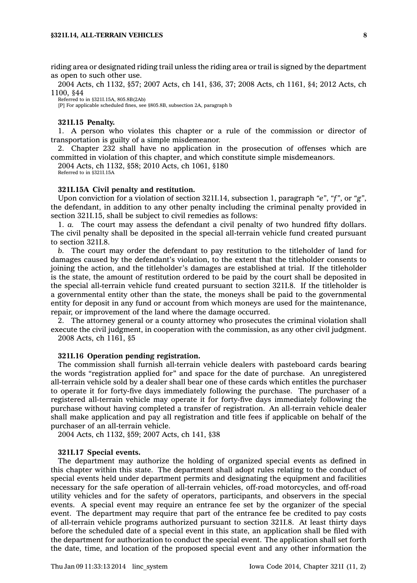riding area or designated riding trail unless the riding area or trail is signed by the department as open to such other use.

2004 Acts, ch 1132, §57; 2007 Acts, ch 141, §36, 37; 2008 Acts, ch 1161, §4; 2012 Acts, ch 1100, §44

Referred to in §321I.15A, 805.8B(2Ab)

[P] For applicable scheduled fines, see §805.8B, subsection 2A, paragraph b

### **321I.15 Penalty.**

1. A person who violates this chapter or <sup>a</sup> rule of the commission or director of transportation is guilty of <sup>a</sup> simple misdemeanor.

2. Chapter 232 shall have no application in the prosecution of offenses which are committed in violation of this chapter, and which constitute simple misdemeanors.

2004 Acts, ch 1132, §58; 2010 Acts, ch 1061, §180

Referred to in §321I.15A

### **321I.15A Civil penalty and restitution.**

Upon conviction for <sup>a</sup> violation of section 321I.14, subsection 1, paragraph *"e"*, *"f"*, or *"g"*, the defendant, in addition to any other penalty including the criminal penalty provided in section 321I.15, shall be subject to civil remedies as follows:

1. *a.* The court may assess the defendant <sup>a</sup> civil penalty of two hundred fifty dollars. The civil penalty shall be deposited in the special all-terrain vehicle fund created pursuant to section 321I.8.

*b.* The court may order the defendant to pay restitution to the titleholder of land for damages caused by the defendant's violation, to the extent that the titleholder consents to joining the action, and the titleholder's damages are established at trial. If the titleholder is the state, the amount of restitution ordered to be paid by the court shall be deposited in the special all-terrain vehicle fund created pursuant to section 321I.8. If the titleholder is <sup>a</sup> governmental entity other than the state, the moneys shall be paid to the governmental entity for deposit in any fund or account from which moneys are used for the maintenance, repair, or improvement of the land where the damage occurred.

2. The attorney general or <sup>a</sup> county attorney who prosecutes the criminal violation shall execute the civil judgment, in cooperation with the commission, as any other civil judgment. 2008 Acts, ch 1161, §5

### **321I.16 Operation pending registration.**

The commission shall furnish all-terrain vehicle dealers with pasteboard cards bearing the words "registration applied for" and space for the date of purchase. An unregistered all-terrain vehicle sold by <sup>a</sup> dealer shall bear one of these cards which entitles the purchaser to operate it for forty-five days immediately following the purchase. The purchaser of <sup>a</sup> registered all-terrain vehicle may operate it for forty-five days immediately following the purchase without having completed <sup>a</sup> transfer of registration. An all-terrain vehicle dealer shall make application and pay all registration and title fees if applicable on behalf of the purchaser of an all-terrain vehicle.

2004 Acts, ch 1132, §59; 2007 Acts, ch 141, §38

### **321I.17 Special events.**

The department may authorize the holding of organized special events as defined in this chapter within this state. The department shall adopt rules relating to the conduct of special events held under department permits and designating the equipment and facilities necessary for the safe operation of all-terrain vehicles, off-road motorcycles, and off-road utility vehicles and for the safety of operators, participants, and observers in the special events. A special event may require an entrance fee set by the organizer of the special event. The department may require that part of the entrance fee be credited to pay costs of all-terrain vehicle programs authorized pursuant to section 321I.8. At least thirty days before the scheduled date of <sup>a</sup> special event in this state, an application shall be filed with the department for authorization to conduct the special event. The application shall set forth the date, time, and location of the proposed special event and any other information the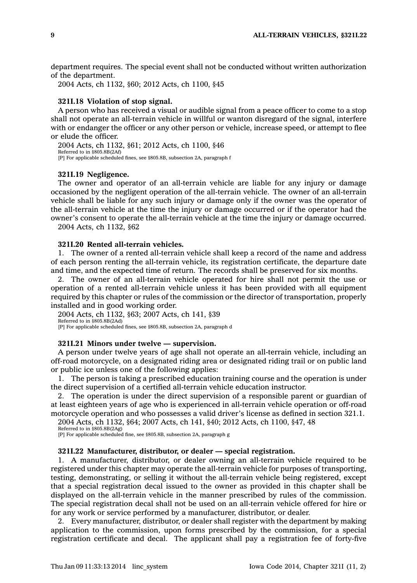department requires. The special event shall not be conducted without written authorization of the department.

2004 Acts, ch 1132, §60; 2012 Acts, ch 1100, §45

# **321I.18 Violation of stop signal.**

A person who has received <sup>a</sup> visual or audible signal from <sup>a</sup> peace officer to come to <sup>a</sup> stop shall not operate an all-terrain vehicle in willful or wanton disregard of the signal, interfere with or endanger the officer or any other person or vehicle, increase speed, or attempt to flee or elude the officer.

2004 Acts, ch 1132, §61; 2012 Acts, ch 1100, §46 Referred to in §805.8B(2Af) [P] For applicable scheduled fines, see §805.8B, subsection 2A, paragraph f

#### **321I.19 Negligence.**

The owner and operator of an all-terrain vehicle are liable for any injury or damage occasioned by the negligent operation of the all-terrain vehicle. The owner of an all-terrain vehicle shall be liable for any such injury or damage only if the owner was the operator of the all-terrain vehicle at the time the injury or damage occurred or if the operator had the owner's consent to operate the all-terrain vehicle at the time the injury or damage occurred.

2004 Acts, ch 1132, §62

# **321I.20 Rented all-terrain vehicles.**

1. The owner of <sup>a</sup> rented all-terrain vehicle shall keep <sup>a</sup> record of the name and address of each person renting the all-terrain vehicle, its registration certificate, the departure date and time, and the expected time of return. The records shall be preserved for six months.

2. The owner of an all-terrain vehicle operated for hire shall not permit the use or operation of <sup>a</sup> rented all-terrain vehicle unless it has been provided with all equipment required by this chapter or rules of the commission or the director of transportation, properly installed and in good working order.

2004 Acts, ch 1132, §63; 2007 Acts, ch 141, §39 Referred to in §805.8B(2Ad) [P] For applicable scheduled fines, see §805.8B, subsection 2A, paragraph d

#### **321I.21 Minors under twelve — supervision.**

A person under twelve years of age shall not operate an all-terrain vehicle, including an off-road motorcycle, on <sup>a</sup> designated riding area or designated riding trail or on public land or public ice unless one of the following applies:

1. The person is taking <sup>a</sup> prescribed education training course and the operation is under the direct supervision of <sup>a</sup> certified all-terrain vehicle education instructor.

2. The operation is under the direct supervision of <sup>a</sup> responsible parent or guardian of at least eighteen years of age who is experienced in all-terrain vehicle operation or off-road motorcycle operation and who possesses <sup>a</sup> valid driver's license as defined in section 321.1.

2004 Acts, ch 1132, §64; 2007 Acts, ch 141, §40; 2012 Acts, ch 1100, §47, 48 Referred to in §805.8B(2Ag)

[P] For applicable scheduled fine, see §805.8B, subsection 2A, paragraph g

# **321I.22 Manufacturer, distributor, or dealer — special registration.**

1. A manufacturer, distributor, or dealer owning an all-terrain vehicle required to be registered under this chapter may operate the all-terrain vehicle for purposes of transporting, testing, demonstrating, or selling it without the all-terrain vehicle being registered, except that <sup>a</sup> special registration decal issued to the owner as provided in this chapter shall be displayed on the all-terrain vehicle in the manner prescribed by rules of the commission. The special registration decal shall not be used on an all-terrain vehicle offered for hire or for any work or service performed by <sup>a</sup> manufacturer, distributor, or dealer.

2. Every manufacturer, distributor, or dealer shall register with the department by making application to the commission, upon forms prescribed by the commission, for <sup>a</sup> special registration certificate and decal. The applicant shall pay <sup>a</sup> registration fee of forty-five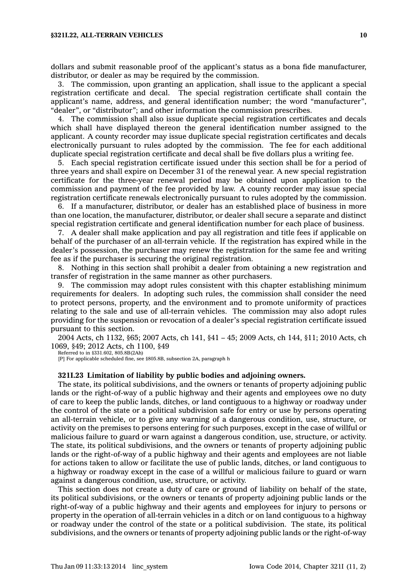### **§321I.22, ALL-TERRAIN VEHICLES 10**

dollars and submit reasonable proof of the applicant's status as <sup>a</sup> bona fide manufacturer, distributor, or dealer as may be required by the commission.

3. The commission, upon granting an application, shall issue to the applicant <sup>a</sup> special registration certificate and decal. The special registration certificate shall contain the applicant's name, address, and general identification number; the word "manufacturer", "dealer", or "distributor"; and other information the commission prescribes.

4. The commission shall also issue duplicate special registration certificates and decals which shall have displayed thereon the general identification number assigned to the applicant. A county recorder may issue duplicate special registration certificates and decals electronically pursuant to rules adopted by the commission. The fee for each additional duplicate special registration certificate and decal shall be five dollars plus <sup>a</sup> writing fee.

5. Each special registration certificate issued under this section shall be for <sup>a</sup> period of three years and shall expire on December 31 of the renewal year. A new special registration certificate for the three-year renewal period may be obtained upon application to the commission and payment of the fee provided by law. A county recorder may issue special registration certificate renewals electronically pursuant to rules adopted by the commission.

6. If <sup>a</sup> manufacturer, distributor, or dealer has an established place of business in more than one location, the manufacturer, distributor, or dealer shall secure <sup>a</sup> separate and distinct special registration certificate and general identification number for each place of business.

7. A dealer shall make application and pay all registration and title fees if applicable on behalf of the purchaser of an all-terrain vehicle. If the registration has expired while in the dealer's possession, the purchaser may renew the registration for the same fee and writing fee as if the purchaser is securing the original registration.

8. Nothing in this section shall prohibit <sup>a</sup> dealer from obtaining <sup>a</sup> new registration and transfer of registration in the same manner as other purchasers.

9. The commission may adopt rules consistent with this chapter establishing minimum requirements for dealers. In adopting such rules, the commission shall consider the need to protect persons, property, and the environment and to promote uniformity of practices relating to the sale and use of all-terrain vehicles. The commission may also adopt rules providing for the suspension or revocation of <sup>a</sup> dealer's special registration certificate issued pursuant to this section.

2004 Acts, ch 1132, §65; 2007 Acts, ch 141, §41 – 45; 2009 Acts, ch 144, §11; 2010 Acts, ch 1069, §49; 2012 Acts, ch 1100, §49

Referred to in §331.602, 805.8B(2Ah)

[P] For applicable scheduled fine, see §805.8B, subsection 2A, paragraph h

# **321I.23 Limitation of liability by public bodies and adjoining owners.**

The state, its political subdivisions, and the owners or tenants of property adjoining public lands or the right-of-way of <sup>a</sup> public highway and their agents and employees owe no duty of care to keep the public lands, ditches, or land contiguous to <sup>a</sup> highway or roadway under the control of the state or <sup>a</sup> political subdivision safe for entry or use by persons operating an all-terrain vehicle, or to give any warning of <sup>a</sup> dangerous condition, use, structure, or activity on the premises to persons entering for such purposes, except in the case of willful or malicious failure to guard or warn against <sup>a</sup> dangerous condition, use, structure, or activity. The state, its political subdivisions, and the owners or tenants of property adjoining public lands or the right-of-way of <sup>a</sup> public highway and their agents and employees are not liable for actions taken to allow or facilitate the use of public lands, ditches, or land contiguous to <sup>a</sup> highway or roadway except in the case of <sup>a</sup> willful or malicious failure to guard or warn against <sup>a</sup> dangerous condition, use, structure, or activity.

This section does not create <sup>a</sup> duty of care or ground of liability on behalf of the state, its political subdivisions, or the owners or tenants of property adjoining public lands or the right-of-way of <sup>a</sup> public highway and their agents and employees for injury to persons or property in the operation of all-terrain vehicles in <sup>a</sup> ditch or on land contiguous to <sup>a</sup> highway or roadway under the control of the state or <sup>a</sup> political subdivision. The state, its political subdivisions, and the owners or tenants of property adjoining public lands or the right-of-way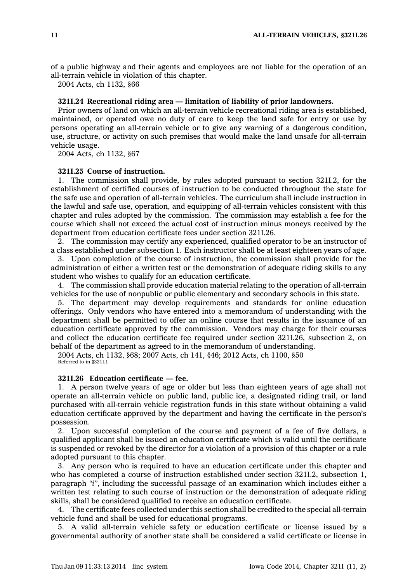of <sup>a</sup> public highway and their agents and employees are not liable for the operation of an all-terrain vehicle in violation of this chapter.

2004 Acts, ch 1132, §66

# **321I.24 Recreational riding area — limitation of liability of prior landowners.**

Prior owners of land on which an all-terrain vehicle recreational riding area is established, maintained, or operated owe no duty of care to keep the land safe for entry or use by persons operating an all-terrain vehicle or to give any warning of <sup>a</sup> dangerous condition, use, structure, or activity on such premises that would make the land unsafe for all-terrain vehicle usage.

2004 Acts, ch 1132, §67

# **321I.25 Course of instruction.**

1. The commission shall provide, by rules adopted pursuant to section 321I.2, for the establishment of certified courses of instruction to be conducted throughout the state for the safe use and operation of all-terrain vehicles. The curriculum shall include instruction in the lawful and safe use, operation, and equipping of all-terrain vehicles consistent with this chapter and rules adopted by the commission. The commission may establish <sup>a</sup> fee for the course which shall not exceed the actual cost of instruction minus moneys received by the department from education certificate fees under section 321I.26.

2. The commission may certify any experienced, qualified operator to be an instructor of <sup>a</sup> class established under subsection 1. Each instructor shall be at least eighteen years of age.

3. Upon completion of the course of instruction, the commission shall provide for the administration of either <sup>a</sup> written test or the demonstration of adequate riding skills to any student who wishes to qualify for an education certificate.

4. The commission shall provide education material relating to the operation of all-terrain vehicles for the use of nonpublic or public elementary and secondary schools in this state.

5. The department may develop requirements and standards for online education offerings. Only vendors who have entered into <sup>a</sup> memorandum of understanding with the department shall be permitted to offer an online course that results in the issuance of an education certificate approved by the commission. Vendors may charge for their courses and collect the education certificate fee required under section 321I.26, subsection 2, on behalf of the department as agreed to in the memorandum of understanding.

2004 Acts, ch 1132, §68; 2007 Acts, ch 141, §46; 2012 Acts, ch 1100, §50 Referred to in §321I.1

# **321I.26 Education certificate — fee.**

1. A person twelve years of age or older but less than eighteen years of age shall not operate an all-terrain vehicle on public land, public ice, <sup>a</sup> designated riding trail, or land purchased with all-terrain vehicle registration funds in this state without obtaining <sup>a</sup> valid education certificate approved by the department and having the certificate in the person's possession.

2. Upon successful completion of the course and payment of <sup>a</sup> fee of five dollars, <sup>a</sup> qualified applicant shall be issued an education certificate which is valid until the certificate is suspended or revoked by the director for <sup>a</sup> violation of <sup>a</sup> provision of this chapter or <sup>a</sup> rule adopted pursuant to this chapter.

3. Any person who is required to have an education certificate under this chapter and who has completed <sup>a</sup> course of instruction established under section 321I.2, subsection 1, paragraph *"i"*, including the successful passage of an examination which includes either <sup>a</sup> written test relating to such course of instruction or the demonstration of adequate riding skills, shall be considered qualified to receive an education certificate.

4. The certificate fees collected under this section shall be credited to the special all-terrain vehicle fund and shall be used for educational programs.

5. A valid all-terrain vehicle safety or education certificate or license issued by <sup>a</sup> governmental authority of another state shall be considered <sup>a</sup> valid certificate or license in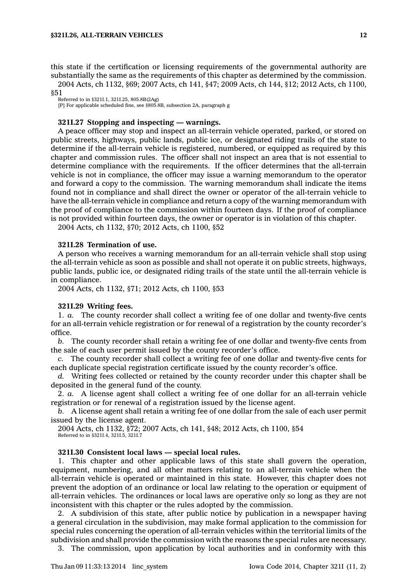this state if the certification or licensing requirements of the governmental authority are substantially the same as the requirements of this chapter as determined by the commission.

2004 Acts, ch 1132, §69; 2007 Acts, ch 141, §47; 2009 Acts, ch 144, §12; 2012 Acts, ch 1100, §51

Referred to in §321I.1, 321I.25, 805.8B(2Ag)

[P] For applicable scheduled fine, see §805.8B, subsection 2A, paragraph g

# **321I.27 Stopping and inspecting — warnings.**

A peace officer may stop and inspect an all-terrain vehicle operated, parked, or stored on public streets, highways, public lands, public ice, or designated riding trails of the state to determine if the all-terrain vehicle is registered, numbered, or equipped as required by this chapter and commission rules. The officer shall not inspect an area that is not essential to determine compliance with the requirements. If the officer determines that the all-terrain vehicle is not in compliance, the officer may issue <sup>a</sup> warning memorandum to the operator and forward <sup>a</sup> copy to the commission. The warning memorandum shall indicate the items found not in compliance and shall direct the owner or operator of the all-terrain vehicle to have the all-terrain vehicle in compliance and return <sup>a</sup> copy of the warning memorandum with the proof of compliance to the commission within fourteen days. If the proof of compliance is not provided within fourteen days, the owner or operator is in violation of this chapter.

2004 Acts, ch 1132, §70; 2012 Acts, ch 1100, §52

# **321I.28 Termination of use.**

A person who receives <sup>a</sup> warning memorandum for an all-terrain vehicle shall stop using the all-terrain vehicle as soon as possible and shall not operate it on public streets, highways, public lands, public ice, or designated riding trails of the state until the all-terrain vehicle is in compliance.

2004 Acts, ch 1132, §71; 2012 Acts, ch 1100, §53

# **321I.29 Writing fees.**

1. *a.* The county recorder shall collect <sup>a</sup> writing fee of one dollar and twenty-five cents for an all-terrain vehicle registration or for renewal of <sup>a</sup> registration by the county recorder's office.

*b.* The county recorder shall retain <sup>a</sup> writing fee of one dollar and twenty-five cents from the sale of each user permit issued by the county recorder's office.

*c.* The county recorder shall collect <sup>a</sup> writing fee of one dollar and twenty-five cents for each duplicate special registration certificate issued by the county recorder's office.

*d.* Writing fees collected or retained by the county recorder under this chapter shall be deposited in the general fund of the county.

2. *a.* A license agent shall collect <sup>a</sup> writing fee of one dollar for an all-terrain vehicle registration or for renewal of <sup>a</sup> registration issued by the license agent.

*b.* A license agent shall retain <sup>a</sup> writing fee of one dollar from the sale of each user permit issued by the license agent.

2004 Acts, ch 1132, §72; 2007 Acts, ch 141, §48; 2012 Acts, ch 1100, §54 Referred to in §321I.4, 321I.5, 321I.7

### **321I.30 Consistent local laws — special local rules.**

1. This chapter and other applicable laws of this state shall govern the operation, equipment, numbering, and all other matters relating to an all-terrain vehicle when the all-terrain vehicle is operated or maintained in this state. However, this chapter does not prevent the adoption of an ordinance or local law relating to the operation or equipment of all-terrain vehicles. The ordinances or local laws are operative only so long as they are not inconsistent with this chapter or the rules adopted by the commission.

2. A subdivision of this state, after public notice by publication in <sup>a</sup> newspaper having <sup>a</sup> general circulation in the subdivision, may make formal application to the commission for special rules concerning the operation of all-terrain vehicles within the territorial limits of the subdivision and shall provide the commission with the reasons the special rules are necessary.

3. The commission, upon application by local authorities and in conformity with this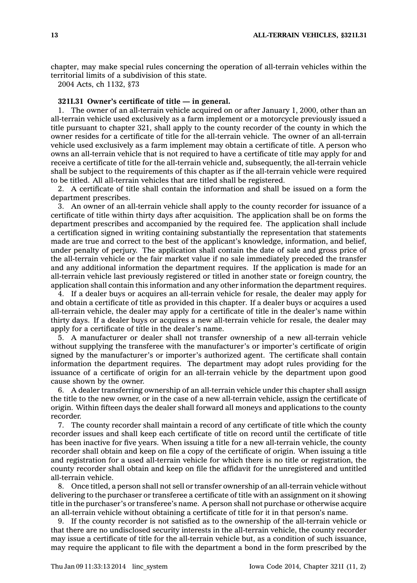chapter, may make special rules concerning the operation of all-terrain vehicles within the territorial limits of <sup>a</sup> subdivision of this state.

2004 Acts, ch 1132, §73

# **321I.31 Owner's certificate of title — in general.**

1. The owner of an all-terrain vehicle acquired on or after January 1, 2000, other than an all-terrain vehicle used exclusively as <sup>a</sup> farm implement or <sup>a</sup> motorcycle previously issued <sup>a</sup> title pursuant to chapter 321, shall apply to the county recorder of the county in which the owner resides for <sup>a</sup> certificate of title for the all-terrain vehicle. The owner of an all-terrain vehicle used exclusively as <sup>a</sup> farm implement may obtain <sup>a</sup> certificate of title. A person who owns an all-terrain vehicle that is not required to have <sup>a</sup> certificate of title may apply for and receive <sup>a</sup> certificate of title for the all-terrain vehicle and, subsequently, the all-terrain vehicle shall be subject to the requirements of this chapter as if the all-terrain vehicle were required to be titled. All all-terrain vehicles that are titled shall be registered.

2. A certificate of title shall contain the information and shall be issued on <sup>a</sup> form the department prescribes.

3. An owner of an all-terrain vehicle shall apply to the county recorder for issuance of <sup>a</sup> certificate of title within thirty days after acquisition. The application shall be on forms the department prescribes and accompanied by the required fee. The application shall include <sup>a</sup> certification signed in writing containing substantially the representation that statements made are true and correct to the best of the applicant's knowledge, information, and belief, under penalty of perjury. The application shall contain the date of sale and gross price of the all-terrain vehicle or the fair market value if no sale immediately preceded the transfer and any additional information the department requires. If the application is made for an all-terrain vehicle last previously registered or titled in another state or foreign country, the application shall contain this information and any other information the department requires.

4. If <sup>a</sup> dealer buys or acquires an all-terrain vehicle for resale, the dealer may apply for and obtain <sup>a</sup> certificate of title as provided in this chapter. If <sup>a</sup> dealer buys or acquires <sup>a</sup> used all-terrain vehicle, the dealer may apply for <sup>a</sup> certificate of title in the dealer's name within thirty days. If <sup>a</sup> dealer buys or acquires <sup>a</sup> new all-terrain vehicle for resale, the dealer may apply for <sup>a</sup> certificate of title in the dealer's name.

5. A manufacturer or dealer shall not transfer ownership of <sup>a</sup> new all-terrain vehicle without supplying the transferee with the manufacturer's or importer's certificate of origin signed by the manufacturer's or importer's authorized agent. The certificate shall contain information the department requires. The department may adopt rules providing for the issuance of <sup>a</sup> certificate of origin for an all-terrain vehicle by the department upon good cause shown by the owner.

6. A dealer transferring ownership of an all-terrain vehicle under this chapter shall assign the title to the new owner, or in the case of <sup>a</sup> new all-terrain vehicle, assign the certificate of origin. Within fifteen days the dealer shall forward all moneys and applications to the county recorder.

7. The county recorder shall maintain <sup>a</sup> record of any certificate of title which the county recorder issues and shall keep each certificate of title on record until the certificate of title has been inactive for five years. When issuing <sup>a</sup> title for <sup>a</sup> new all-terrain vehicle, the county recorder shall obtain and keep on file <sup>a</sup> copy of the certificate of origin. When issuing <sup>a</sup> title and registration for <sup>a</sup> used all-terrain vehicle for which there is no title or registration, the county recorder shall obtain and keep on file the affidavit for the unregistered and untitled all-terrain vehicle.

8. Once titled, <sup>a</sup> person shall not sell or transfer ownership of an all-terrain vehicle without delivering to the purchaser or transferee <sup>a</sup> certificate of title with an assignment on it showing title in the purchaser's or transferee's name. A person shall not purchase or otherwise acquire an all-terrain vehicle without obtaining <sup>a</sup> certificate of title for it in that person's name.

9. If the county recorder is not satisfied as to the ownership of the all-terrain vehicle or that there are no undisclosed security interests in the all-terrain vehicle, the county recorder may issue <sup>a</sup> certificate of title for the all-terrain vehicle but, as <sup>a</sup> condition of such issuance, may require the applicant to file with the department <sup>a</sup> bond in the form prescribed by the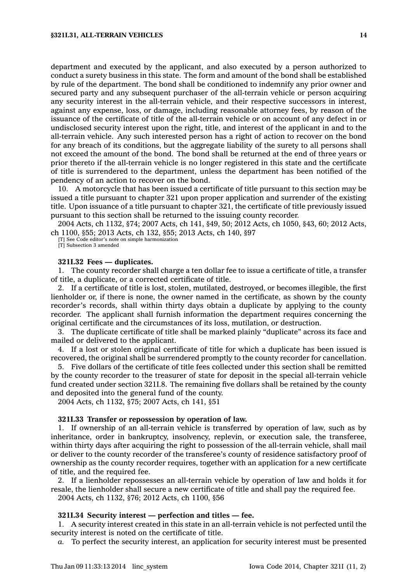department and executed by the applicant, and also executed by <sup>a</sup> person authorized to conduct <sup>a</sup> surety business in this state. The form and amount of the bond shall be established by rule of the department. The bond shall be conditioned to indemnify any prior owner and secured party and any subsequent purchaser of the all-terrain vehicle or person acquiring any security interest in the all-terrain vehicle, and their respective successors in interest, against any expense, loss, or damage, including reasonable attorney fees, by reason of the issuance of the certificate of title of the all-terrain vehicle or on account of any defect in or undisclosed security interest upon the right, title, and interest of the applicant in and to the all-terrain vehicle. Any such interested person has <sup>a</sup> right of action to recover on the bond for any breach of its conditions, but the aggregate liability of the surety to all persons shall not exceed the amount of the bond. The bond shall be returned at the end of three years or prior thereto if the all-terrain vehicle is no longer registered in this state and the certificate of title is surrendered to the department, unless the department has been notified of the pendency of an action to recover on the bond.

10. A motorcycle that has been issued <sup>a</sup> certificate of title pursuant to this section may be issued <sup>a</sup> title pursuant to chapter 321 upon proper application and surrender of the existing title. Upon issuance of <sup>a</sup> title pursuant to chapter 321, the certificate of title previously issued pursuant to this section shall be returned to the issuing county recorder.

2004 Acts, ch 1132, §74; 2007 Acts, ch 141, §49, 50; 2012 Acts, ch 1050, §43, 60; 2012 Acts, ch 1100, §55; 2013 Acts, ch 132, §55; 2013 Acts, ch 140, §97

[T] See Code editor's note on simple harmonization

[T] Subsection 3 amended

### **321I.32 Fees — duplicates.**

1. The county recorder shall charge <sup>a</sup> ten dollar fee to issue <sup>a</sup> certificate of title, <sup>a</sup> transfer of title, <sup>a</sup> duplicate, or <sup>a</sup> corrected certificate of title.

2. If <sup>a</sup> certificate of title is lost, stolen, mutilated, destroyed, or becomes illegible, the first lienholder or, if there is none, the owner named in the certificate, as shown by the county recorder's records, shall within thirty days obtain <sup>a</sup> duplicate by applying to the county recorder. The applicant shall furnish information the department requires concerning the original certificate and the circumstances of its loss, mutilation, or destruction.

3. The duplicate certificate of title shall be marked plainly "duplicate" across its face and mailed or delivered to the applicant.

4. If <sup>a</sup> lost or stolen original certificate of title for which <sup>a</sup> duplicate has been issued is recovered, the original shall be surrendered promptly to the county recorder for cancellation.

5. Five dollars of the certificate of title fees collected under this section shall be remitted by the county recorder to the treasurer of state for deposit in the special all-terrain vehicle fund created under section 321I.8. The remaining five dollars shall be retained by the county and deposited into the general fund of the county.

2004 Acts, ch 1132, §75; 2007 Acts, ch 141, §51

# **321I.33 Transfer or repossession by operation of law.**

1. If ownership of an all-terrain vehicle is transferred by operation of law, such as by inheritance, order in bankruptcy, insolvency, replevin, or execution sale, the transferee, within thirty days after acquiring the right to possession of the all-terrain vehicle, shall mail or deliver to the county recorder of the transferee's county of residence satisfactory proof of ownership as the county recorder requires, together with an application for <sup>a</sup> new certificate of title, and the required fee.

2. If <sup>a</sup> lienholder repossesses an all-terrain vehicle by operation of law and holds it for resale, the lienholder shall secure <sup>a</sup> new certificate of title and shall pay the required fee.

2004 Acts, ch 1132, §76; 2012 Acts, ch 1100, §56

### **321I.34 Security interest — perfection and titles — fee.**

1. A security interest created in this state in an all-terrain vehicle is not perfected until the security interest is noted on the certificate of title.

*a.* To perfect the security interest, an application for security interest must be presented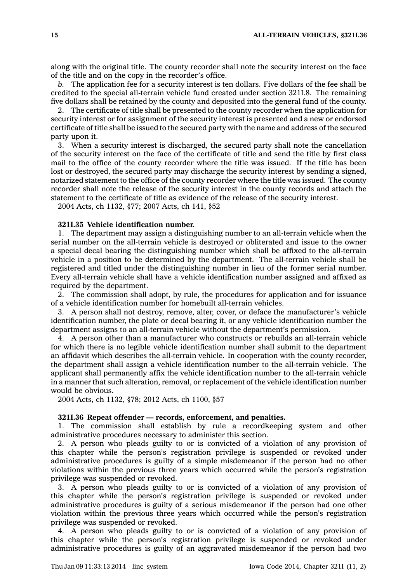along with the original title. The county recorder shall note the security interest on the face of the title and on the copy in the recorder's office.

*b.* The application fee for <sup>a</sup> security interest is ten dollars. Five dollars of the fee shall be credited to the special all-terrain vehicle fund created under section 321I.8. The remaining five dollars shall be retained by the county and deposited into the general fund of the county.

2. The certificate of title shall be presented to the county recorder when the application for security interest or for assignment of the security interest is presented and <sup>a</sup> new or endorsed certificate of title shall be issued to the secured party with the name and address of the secured party upon it.

3. When <sup>a</sup> security interest is discharged, the secured party shall note the cancellation of the security interest on the face of the certificate of title and send the title by first class mail to the office of the county recorder where the title was issued. If the title has been lost or destroyed, the secured party may discharge the security interest by sending <sup>a</sup> signed, notarized statement to the office of the county recorder where the title was issued. The county recorder shall note the release of the security interest in the county records and attach the statement to the certificate of title as evidence of the release of the security interest.

2004 Acts, ch 1132, §77; 2007 Acts, ch 141, §52

# **321I.35 Vehicle identification number.**

1. The department may assign <sup>a</sup> distinguishing number to an all-terrain vehicle when the serial number on the all-terrain vehicle is destroyed or obliterated and issue to the owner <sup>a</sup> special decal bearing the distinguishing number which shall be affixed to the all-terrain vehicle in <sup>a</sup> position to be determined by the department. The all-terrain vehicle shall be registered and titled under the distinguishing number in lieu of the former serial number. Every all-terrain vehicle shall have <sup>a</sup> vehicle identification number assigned and affixed as required by the department.

2. The commission shall adopt, by rule, the procedures for application and for issuance of <sup>a</sup> vehicle identification number for homebuilt all-terrain vehicles.

3. A person shall not destroy, remove, alter, cover, or deface the manufacturer's vehicle identification number, the plate or decal bearing it, or any vehicle identification number the department assigns to an all-terrain vehicle without the department's permission.

4. A person other than <sup>a</sup> manufacturer who constructs or rebuilds an all-terrain vehicle for which there is no legible vehicle identification number shall submit to the department an affidavit which describes the all-terrain vehicle. In cooperation with the county recorder, the department shall assign <sup>a</sup> vehicle identification number to the all-terrain vehicle. The applicant shall permanently affix the vehicle identification number to the all-terrain vehicle in <sup>a</sup> manner that such alteration, removal, or replacement of the vehicle identification number would be obvious.

2004 Acts, ch 1132, §78; 2012 Acts, ch 1100, §57

# **321I.36 Repeat offender — records, enforcement, and penalties.**

1. The commission shall establish by rule <sup>a</sup> recordkeeping system and other administrative procedures necessary to administer this section.

2. A person who pleads guilty to or is convicted of <sup>a</sup> violation of any provision of this chapter while the person's registration privilege is suspended or revoked under administrative procedures is guilty of <sup>a</sup> simple misdemeanor if the person had no other violations within the previous three years which occurred while the person's registration privilege was suspended or revoked.

3. A person who pleads guilty to or is convicted of <sup>a</sup> violation of any provision of this chapter while the person's registration privilege is suspended or revoked under administrative procedures is guilty of <sup>a</sup> serious misdemeanor if the person had one other violation within the previous three years which occurred while the person's registration privilege was suspended or revoked.

4. A person who pleads guilty to or is convicted of <sup>a</sup> violation of any provision of this chapter while the person's registration privilege is suspended or revoked under administrative procedures is guilty of an aggravated misdemeanor if the person had two